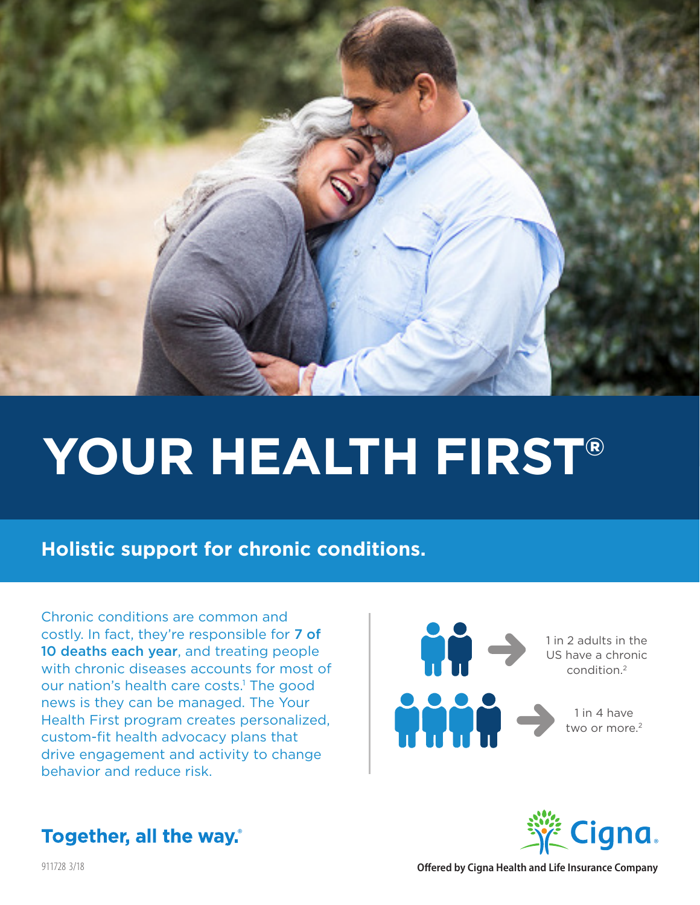

# **YOUR HEALTH FIRST®**

## **Holistic support for chronic conditions.**

Chronic conditions are common and costly. In fact, they're responsible for 7 of 10 deaths each year, and treating people with chronic diseases accounts for most of our nation's health care costs.<sup>1</sup> The good news is they can be managed. The Your Health First program creates personalized, custom-fit health advocacy plans that drive engagement and activity to change behavior and reduce risk.





## **Together, all the way.**

911728 3/18 **Offered by Cigna Health and Life Insurance Company**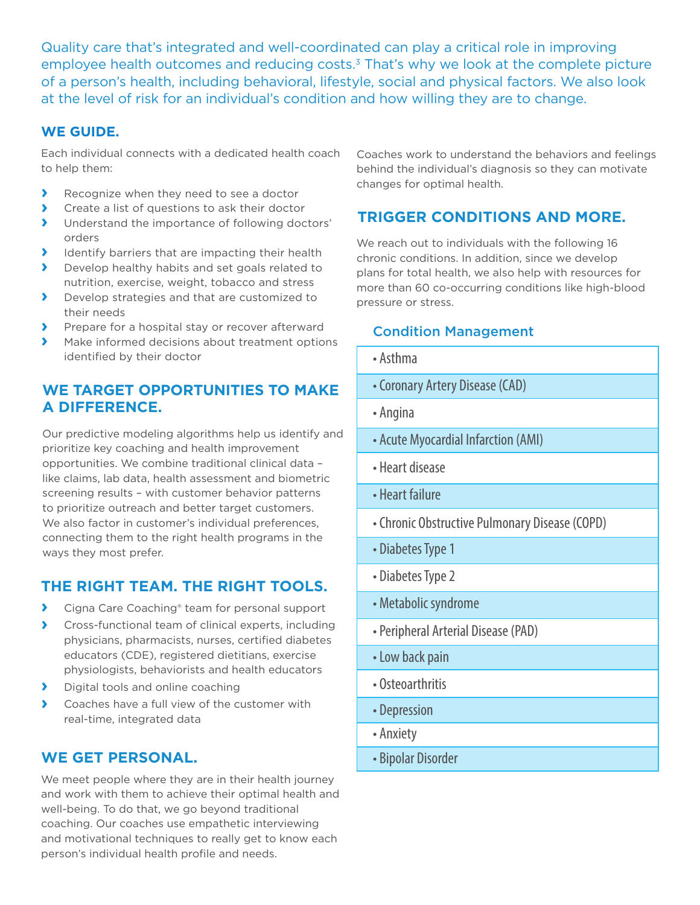Quality care that's integrated and well-coordinated can play a critical role in improving employee health outcomes and reducing costs.<sup>3</sup> That's why we look at the complete picture of a person's health, including behavioral, lifestyle, social and physical factors. We also look at the level of risk for an individual's condition and how willing they are to change.

#### **WE GUIDE.**

Each individual connects with a dedicated health coach to help them:

- **›** Recognize when they need to see a doctor
- **›** Create a list of questions to ask their doctor
- **›** Understand the importance of following doctors' orders
- **›** Identify barriers that are impacting their health
- **›** Develop healthy habits and set goals related to nutrition, exercise, weight, tobacco and stress
- **›** Develop strategies and that are customized to their needs
- **›** Prepare for a hospital stay or recover afterward
- **›** Make informed decisions about treatment options identified by their doctor

#### **WE TARGET OPPORTUNITIES TO MAKE A DIFFERENCE.**

Our predictive modeling algorithms help us identify and prioritize key coaching and health improvement opportunities. We combine traditional clinical data – like claims, lab data, health assessment and biometric screening results – with customer behavior patterns to prioritize outreach and better target customers. We also factor in customer's individual preferences, connecting them to the right health programs in the ways they most prefer.

#### **THE RIGHT TEAM. THE RIGHT TOOLS.**

- **›** Cigna Care Coaching® team for personal support
- **›** Cross-functional team of clinical experts, including physicians, pharmacists, nurses, certified diabetes educators (CDE), registered dietitians, exercise physiologists, behaviorists and health educators
- **›** Digital tools and online coaching
- **›** Coaches have a full view of the customer with real-time, integrated data

#### **WE GET PERSONAL.**

We meet people where they are in their health journey and work with them to achieve their optimal health and well-being. To do that, we go beyond traditional coaching. Our coaches use empathetic interviewing and motivational techniques to really get to know each person's individual health profile and needs.

Coaches work to understand the behaviors and feelings behind the individual's diagnosis so they can motivate changes for optimal health.

#### **TRIGGER CONDITIONS AND MORE.**

We reach out to individuals with the following 16 chronic conditions. In addition, since we develop plans for total health, we also help with resources for more than 60 co-occurring conditions like high-blood pressure or stress.

#### Condition Management

- Asthma
- Coronary Artery Disease (CAD)
- Angina
- Acute Myocardial Infarction (AMI)
- Heart disease
- Heart failure
- Chronic Obstructive Pulmonary Disease (COPD)
- Diabetes Type 1
- Diabetes Type 2
- Metabolic syndrome
- Peripheral Arterial Disease (PAD)
- Low back pain
- Osteoarthritis
- Depression
- Anxiety
- Bipolar Disorder